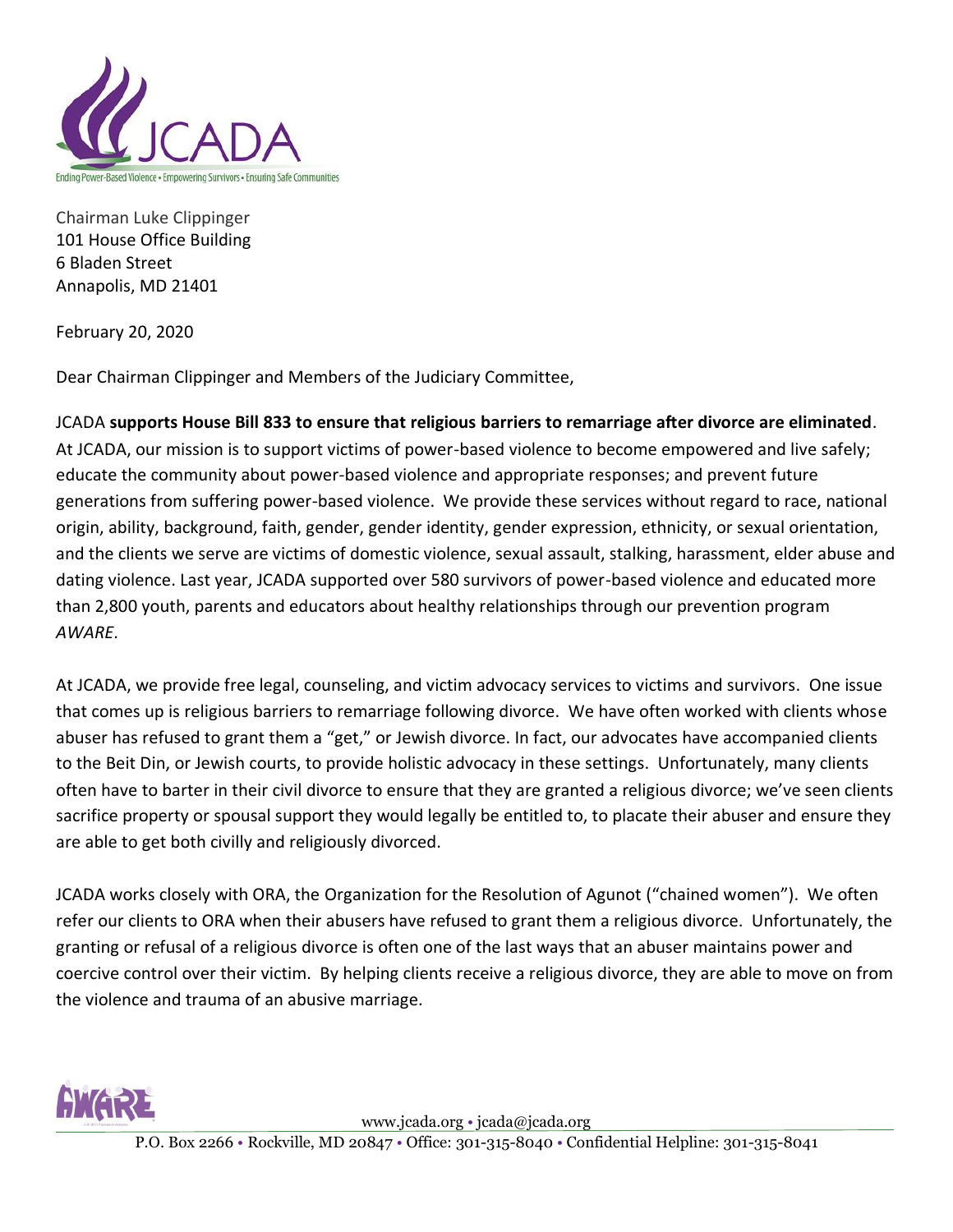

Chairman Luke Clippinger 101 House Office Building 6 Bladen Street Annapolis, MD 21401

February 20, 2020

Dear Chairman Clippinger and Members of the Judiciary Committee,

JCADA **supports House Bill 833 to ensure that religious barriers to remarriage after divorce are eliminated**. At JCADA, our mission is to support victims of power-based violence to become empowered and live safely; educate the community about power-based violence and appropriate responses; and prevent future generations from suffering power-based violence. We provide these services without regard to race, national origin, ability, background, faith, gender, gender identity, gender expression, ethnicity, or sexual orientation, and the clients we serve are victims of domestic violence, sexual assault, stalking, harassment, elder abuse and dating violence. Last year, JCADA supported over 580 survivors of power-based violence and educated more than 2,800 youth, parents and educators about healthy relationships through our prevention program *AWARE*.

At JCADA, we provide free legal, counseling, and victim advocacy services to victims and survivors. One issue that comes up is religious barriers to remarriage following divorce. We have often worked with clients whose abuser has refused to grant them a "get," or Jewish divorce. In fact, our advocates have accompanied clients to the Beit Din, or Jewish courts, to provide holistic advocacy in these settings. Unfortunately, many clients often have to barter in their civil divorce to ensure that they are granted a religious divorce; we've seen clients sacrifice property or spousal support they would legally be entitled to, to placate their abuser and ensure they are able to get both civilly and religiously divorced.

JCADA works closely with ORA, the Organization for the Resolution of Agunot ("chained women"). We often refer our clients to ORA when their abusers have refused to grant them a religious divorce. Unfortunately, the granting or refusal of a religious divorce is often one of the last ways that an abuser maintains power and coercive control over their victim. By helping clients receive a religious divorce, they are able to move on from the violence and trauma of an abusive marriage.



www.jcada.org • jcada@jcada.org